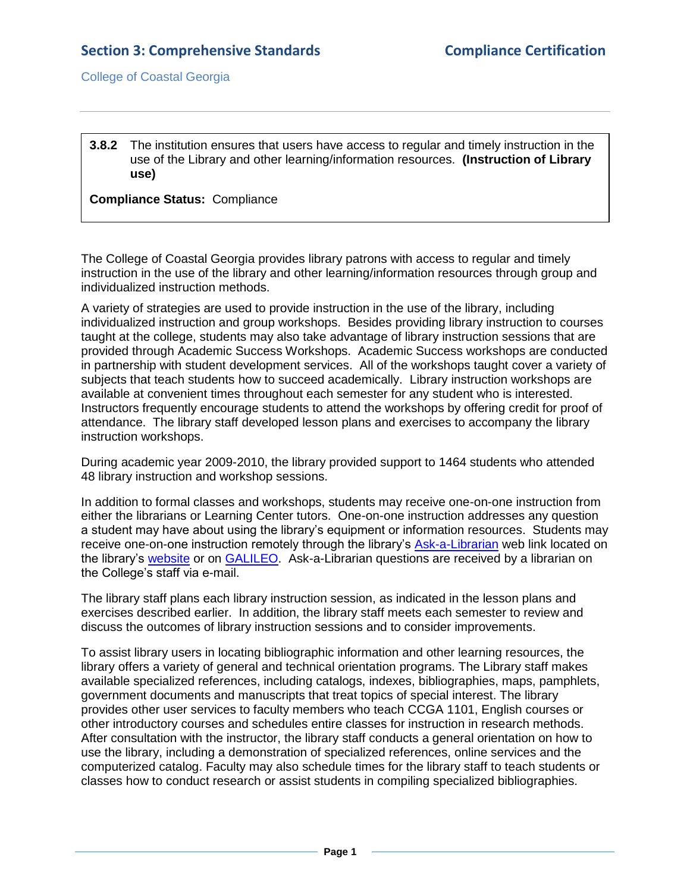College of Coastal Georgia

**3.8.2** The institution ensures that users have access to regular and timely instruction in the use of the Library and other learning/information resources. **(Instruction of Library use)**

**Compliance Status:** Compliance

The College of Coastal Georgia provides library patrons with access to regular and timely instruction in the use of the library and other learning/information resources through group and individualized instruction methods.

A variety of strategies are used to provide instruction in the use of the library, including individualized instruction and group workshops. Besides providing library instruction to courses taught at the college, students may also take advantage of library instruction sessions that are provided through Academic Success Workshops. [Academic Success workshops](file://ccga.edu/epf$/resources/OIRP/Academic%20Success%20Seminar%20Schedule.pdf) are conducted in partnership with student development services. All of the workshops taught cover a variety of subjects that teach students how to succeed academically. [Library instruction workshops](file://ccga.edu/epf$/resources/OIRP/College%20of%20Coastal%20Georgia%20Library%20Annual%20Statistics.pdf) are available at convenient times throughout each semester for any student who is interested. Instructors frequently encourage students to attend the workshops by offering credit for proof of attendance. The library staff developed lesson plans and [exercises](file://ccga.edu/epf$/resources/OIRP/Exercise%20example.pdf) to accompany the library instruction workshops.

During academic year 2009-2010, the library provided support to 1464 students who attended 48 library instruction and workshop sessions.

In addition to formal classes and workshops, students may receive one-on-one instruction from either the librarians or Learning Center tutors. One-on-one instruction addresses any question a student may have about using the library's equipment or information resources. Students may receive one-on-one instruction remotely through the library's [Ask-a-Librarian](3.8.1.dAskALibrarianwebsite.htm#page=1) web link located on the library's [website](2.9.cLibraryWebsite.pdf#page=1) or on [GALILEO.](2.9.eGALILEOfactsheet.pdf#page=1) [Ask-a-Librarian](file://ccga.edu/epf$/resources/OIRP/Ask%20A%20Librarian.pdf) questions are received by a librarian on the College's staff via e-mail.

The library staff plans each library instruction session, as indicated in the lesson plans and exercises described earlier. In addition, the library staff meets [each semester](file:///C:/Documents%20and%20Settings/deholmes/Desktop/IL%20Meeting.pdf) to review and discuss the [outcomes of library instruction sessions](file:///C:/Documents%20and%20Settings/deholmes/Desktop/IL%20Assessment.pdf) and to consider improvements.

To assist library users in locating bibliographic information and other learning resources, the library offers a variety of general and technical orientation programs. The Library staff makes available specialized references, including catalogs, indexes, bibliographies, maps, pamphlets, government documents and manuscripts that treat topics of special interest. The library provides other user services to faculty members who teach CCGA 1101, English courses or other introductory courses and schedules entire classes for instruction in research methods. After consultation with the instructor, the library staff conducts a general orientation on how to use the library, including a demonstration of specialized references, online services and the computerized catalog. Faculty may also schedule times for the library staff to teach students or classes how to conduct research or assist students in compiling specialized bibliographies.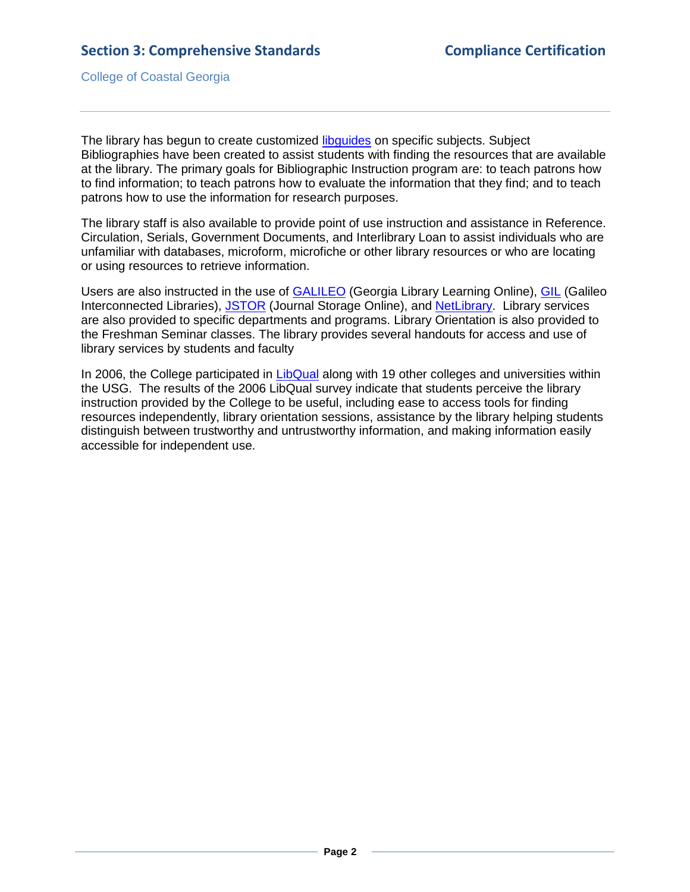College of Coastal Georgia

The library has begun to create customized [libguides](3.8.2.dLibguide.htm#page=1) on specific subjects. Subject Bibliographies have been created to assist students with finding the resources that are available at the library. The primary goals for Bibliographic Instruction program are: to teach patrons how to find information; to teach patrons how to evaluate the information that they find; and to teach patrons how to use the information for research purposes.

The library staff is also available to provide point of use instruction and assistance in Reference. Circulation, Serials, Government Documents, and Interlibrary Loan to assist individuals who are unfamiliar with databases, microform, microfiche or other library resources or who are locating or using resources to retrieve information.

Users are also instructed in the use of **GALILEO** [\(Georgia Library Learning Online\)](http://www.galileo.usg.edu/scholar/ccga/subjects/), **GIL** (Galileo [Interconnected Libraries\)](http://gilfind.ccga.edu/), [JSTOR](3.8.2.gJSTORwebsite.htm#page=1) [\(Journal Storage Online\)](http://www.galileo.usg.edu/scholar/cgcc/databases/jst5-bru1/), and [NetLibrary.](3.8.2.hNetLibrarywebsite.htm#page=1) Library services are also provided to specific departments and programs. Library Orientation is also provided to the Freshman Seminar classes. The library provides several handouts for access and use of library services by students and faculty

In 2006, the College participated in [LibQual](2.9.uLIBQUAL.pdf#page=1) along with 19 other colleges and universities within the USG. The results of the 2006 LibQual survey indicate that students perceive the library instruction provided by the College to be useful, including ease to access tools for finding resources independently, library orientation sessions, assistance by the library helping students distinguish between trustworthy and untrustworthy information, and making information easily accessible for independent use.